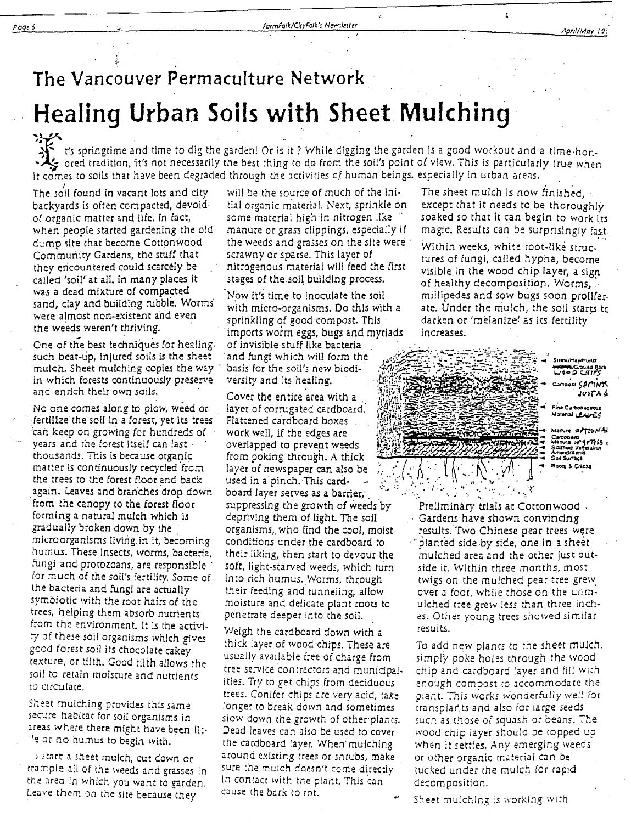#### AneillNinu 19:

# The Vancouver Permaculture Network **Healing Urban Soils with Sheet Mulching**

t's springtime and time to dig the garden! Or is it? While digging the garden is a good workout and a time-hon-<br>Second tradition, it's not necessarily the best thing to do from the soil's point of view. This is particularl

The soil found in vacant lots and city backvards is often compacted, devoidof organic matter and life. In fact, when people started gardening the old dump site that become Cottonwood Community Gardens, the stuff that they encountered could scarcely be called 'soil' at all. In many places it was a dead mixture of compacted sand, clay and building rubble. Worms were almost non-existent and even the weeds weren't thriving.

One of the best techniques for healing. such beat-up, injured soils is the sheet mulch. Sheet mulching copies the way in which forests continuously preserve and enrich their own soils.

No one comes along to plow, weed or fertilize the soil in a forest, yet its trees can keep on growing for hundreds of years and the forest itself can last thousands. This is because organic matter is continuously recycled from the trees to the forest floor and back again. Leaves and branches drop down from the canopy to the forest floor forming a natural mulch which is gradually broken down by the microorganisms living in it, becoming humus. These insects, worms, bacteria, fungi and protozoans, are responsible for much of the soil's fertility. Some of the bacteria and fungi are actually symbiotic with the root hairs of the trees, helping them absorb nutrients from the environment. It is the activity of these soil organisms which gives good forest soil its chocolate cakey texture, or tilth. Good tilth allows the soil to retain moisture and nutrients to circulate.

Sheet mulching provides this same secure habitat for soil organisms in areas where there might have been lit-'e or no humus to begin with.

istart a sheet mulch, cut down or trample all of the weeds and grasses in the area in which you want to garden. Leave them on the site because they

will be the source of much of the initial organic material. Next, sprinkle on some material high in nitrogen like manure or grass clippings, especially if the weeds and grasses on the site were scrawny or sparse. This layer of nitrogenous material will feed the first stages of the soil building process.

Now it's time to inoculate the soil with micro-organisms. Do this with a sprinkling of good compost. This imports worm eggs, bugs and myriads of invisible stuff like bacteria and fungi which will form the basis for the soil's new biodiversity and its healing.

Cover the entire area with a layer of corrugated cardboard. Flattened cardboard boxes work well, if the edges are overlapped to prevent weeds from poking through. A thick layer of newspaper can also be used in a pinch. This cardboard layer serves as a barrier, suppressing the growth of weeds by depriving them of light. The soil organisms, who find the cool, moist conditions under the cardboard to their liking, then start to devour the soft, light-starved weeds, which turn into rich humus. Worms, through their feeding and tunneling, allow moisture and delicate plant roots to penetrate deeper into the soil.

Weigh the cardboard down with a thick layer of wood chips. These are usually available free of charge from tree service contractors and municipalities. Try to get chips from deciduous trees. Conifer chips are very acid, take longer to break down and sometimes slow down the growth of other plants. Dead leaves can also be used to cover the cardboard layer. When mulching around existing trees or shrubs, make sure the mulch doesn't come directly in contact with the plant. This can cause the bark to rot.

The sheet mulch is now finished,  $\cdot$ except that it needs to be thoroughly soaked so that it can begin to work its magic. Results can be surprisingly fast.

 $\overline{z}$ 

Within weeks, white root-like structures of fungi, called hypha, become visible in the wood chip layer, a sign of healthy decomposition. Worms, millipedes and sow bugs soon proliferate. Under the mulch, the soil starts to darken or 'melanize' as its fertility increases.

|  | <b>ALLINO ARTICLE</b> |      | Siraw/Hay/Huils/<br><b>WOMER/Ground Bark</b><br>4185 مەدىبا<br>Camposi SAMINK<br>JUITAA<br>Fine Carbonaceous<br>Material LEAUES<br>Manure of Ton'Ad<br>Caroboard<br>Manura or 917755 |
|--|-----------------------|------|--------------------------------------------------------------------------------------------------------------------------------------------------------------------------------------|
|  | ヒット・マントリフェ            | アリノム | Slashud Vegerauun<br>Amendments<br>Soil Surface<br>Roon & Cracks                                                                                                                     |

Prelimináry trials at Cottonwood .  $\cdot$  Gardens have shown convincing results. Two Chinese pear trees were in planted side by side, one in a sheet mulched area and the other just outside it. Within three months, most twigs on the mulched pear tree grew over a foot, while those on the unmulched tree grew less than three inches. Other young trees showed similar results.

To add new plants to the sheet mulch, simply poke holes through the wood chip and cardboard layer and fill with enough compost to accommodate the plant. This works wonderfully well for transplants and also for large seeds such as those of squash or beans. The wood chip layer should be topped up when it settles. Any emerging weeds or other organic material can be tucked under the mulch for rapid decomposition.

Sheet mulching is working with